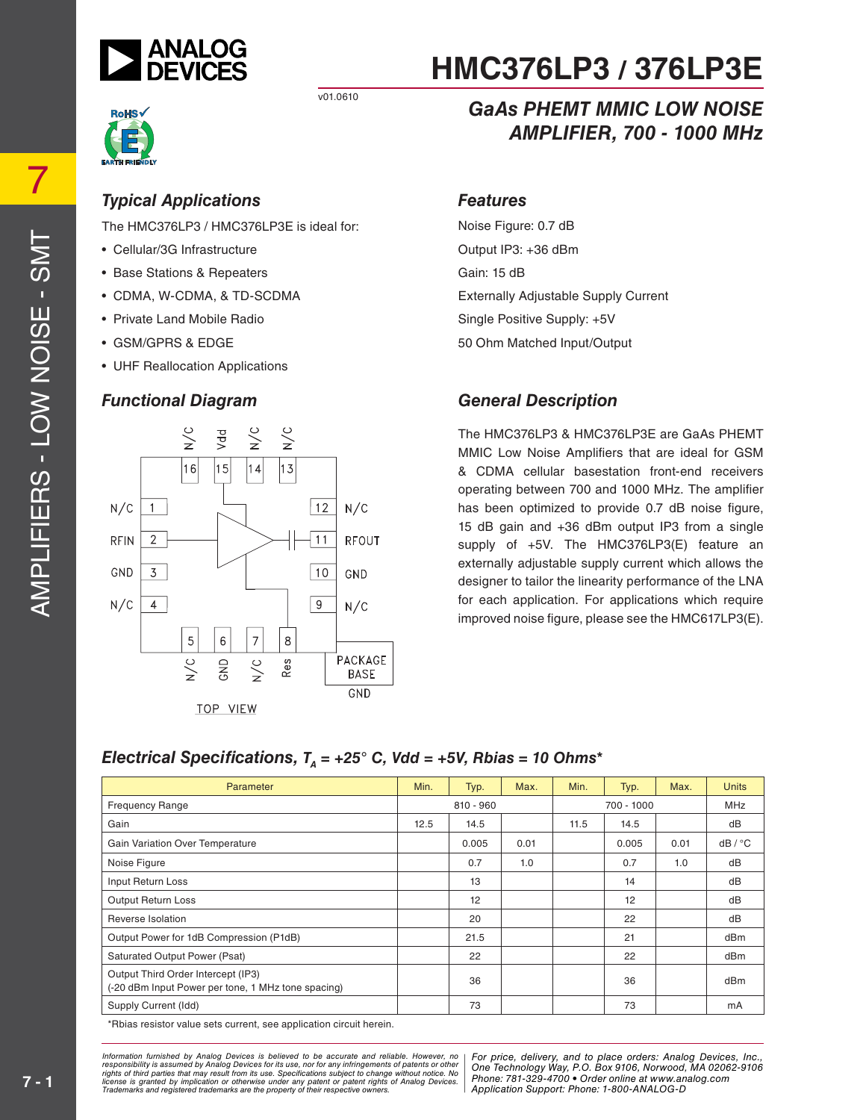



#### *Typical Applications*

The HMC376LP3 / HMC376LP3E is ideal for:

- Cellular/3G Infrastructure
- Base Stations & Repeaters
- CDMA, W-CDMA, & TD-SCDMA
- Private Land Mobile Radio
- GSM/GPRS & EDGE
- UHF Reallocation Applications

#### *Functional Diagram*



# **HMC376LP3 / 376LP3E**

### *GaAs PHEMT MMIC LOW NOISE AMPLIFIER, 700 - 1000 MHz*

#### *Features*

Noise Figure: 0.7 dB Output IP3: +36 dBm Gain: 15 dB Externally Adjustable Supply Current Single Positive Supply: +5V 50 Ohm Matched Input/Output

#### *General Description*

The HMC376LP3 & HMC376LP3E are GaAs PHEMT MMIC Low Noise Amplifiers that are ideal for GSM & CDMA cellular basestation front-end receivers operating between 700 and 1000 MHz. The amplifier has been optimized to provide 0.7 dB noise figure, 15 dB gain and +36 dBm output IP3 from a single supply of +5V. The HMC376LP3(E) feature an externally adjustable supply current which allows the designer to tailor the linearity performance of the LNA for each application. For applications which require improved noise figure, please see the HMC617LP3(E).

#### *Electrical Specifications,*  $T<sub>A</sub> = +25$ ° *C, Vdd = +5V, Rbias = 10 Ohms\**

| Parameter                                                                                | Min. | Typ.        | Max. | Min.       | Typ.  | Max.       | <b>Units</b> |
|------------------------------------------------------------------------------------------|------|-------------|------|------------|-------|------------|--------------|
| <b>Frequency Range</b>                                                                   |      | $810 - 960$ |      | 700 - 1000 |       | <b>MHz</b> |              |
| Gain                                                                                     | 12.5 | 14.5        |      | 11.5       | 14.5  |            | dB           |
| Gain Variation Over Temperature                                                          |      | 0.005       | 0.01 |            | 0.005 | 0.01       | dB / °C      |
| Noise Figure                                                                             |      | 0.7         | 1.0  |            | 0.7   | 1.0        | dB           |
| Input Return Loss                                                                        |      | 13          |      |            | 14    |            | dB           |
| <b>Output Return Loss</b>                                                                |      | 12          |      |            | 12    |            | dB           |
| Reverse Isolation                                                                        |      | 20          |      |            | 22    |            | dB           |
| Output Power for 1dB Compression (P1dB)                                                  |      | 21.5        |      |            | 21    |            | dBm          |
| Saturated Output Power (Psat)                                                            |      | 22          |      |            | 22    |            | dBm          |
| Output Third Order Intercept (IP3)<br>(-20 dBm Input Power per tone, 1 MHz tone spacing) |      | 36          |      |            | 36    |            | dBm          |
| Supply Current (Idd)                                                                     |      | 73          |      |            | 73    |            | mA           |

Rbias resistor value sets current, see application circuit herein.

ed by Analog Devices is believed to be accurate and reliable. However, no [For price, delivery, and to place orders: Analog<br>umed by Analog Devices for its use nor for any infringements of patents or other [One Technologu W at may result from its use. Specifications subject to change without notice. No<br>mplication or otherwise under any patent or patent rights of Analog Devices Phone: 781-329-4700 • Order online at www.a spective owners.  $\blacksquare$  Application S *Information furnished by Analog Devices is believed to be accurate and reliable. However, no*  responsibility is assumed by Analog Devices for its use, nor for any infringements of patents or other<br>rights of third parties that may result from its use. Specifications subject to change without notice. No<br>license is gr

*For price, delivery, and to place orders: Analog Devices, Inc., One Technology Way, P.O. Box 9106, Norwood, MA 02062-9106 Phone: 781-329-4700 • Order online at www.analog.com Application Support: Phone: 1-800-ANALOG-D*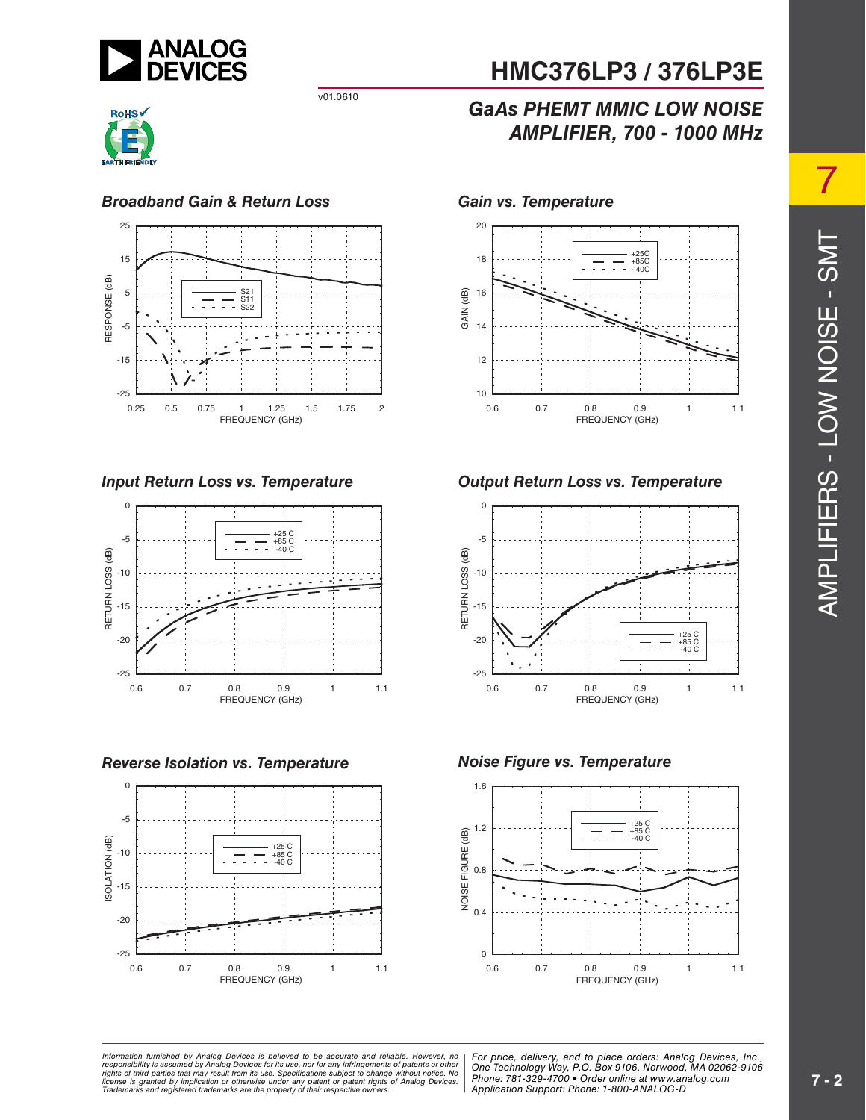



#### *Broadband Gain & Return Loss Gain vs. Temperature*



*Input Return Loss vs. Temperature*



*Reverse Isolation vs. Temperature Noise Figure vs. Temperature*



# **HMC376LP3 / 376LP3E**

## *GaAs PHEMT MMIC LOW NOISE AMPLIFIER, 700 - 1000 MHz*



#### *Output Return Loss vs. Temperature*





AMPLIFIERS - LOW NOISE - SMT AMPLIFIERS - LOW NOISE - SMT

7

at may result from its use. Specifications subject to change without notice. No<br>polication or otherwise under any patent or patent rights of Analog Devices Phone: 781-329-4700 • Order online at www.a spective owners.  $\blacksquare$  Application S *Information furnished by Analog Devices is believed to be accurate and reliable. However, no*  responsibility is assumed by Analog Devices for its use, nor for any infringements of patents or other<br>rights of third parties that may result from its use. Specifications subject to change without notice. No<br>license is gr

ed by Analog Devices is believed to be accurate and reliable. However, no | For price, delivery, and to place orders: Analog Devices, Inc.,<br>umed by Analog Devices for its use, not for any infringements of patents or other *Phone: 781-329-4700 • Order online at www.analog.com Application Support: Phone: 1-800-ANALOG-D*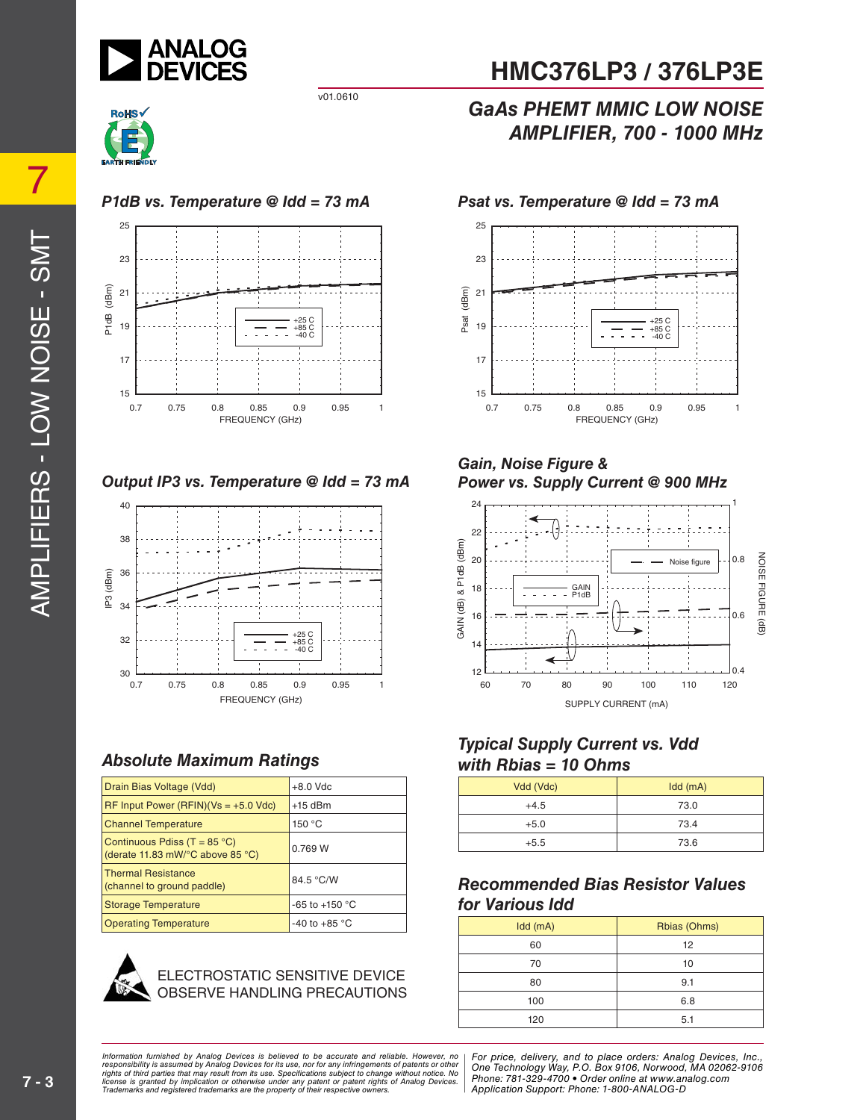



#### *P1dB vs. Temperature @ Idd = 73 mA Psat vs. Temperature @ Idd = 73 mA*



#### *Output IP3 vs. Temperature @ Idd = 73 mA*



#### *Absolute Maximum Ratings*

| Drain Bias Voltage (Vdd)                                                  | $+8.0$ Vdc              |
|---------------------------------------------------------------------------|-------------------------|
| $RF$ Input Power (RFIN)(Vs = +5.0 Vdc)                                    | $+15$ dBm               |
| <b>Channel Temperature</b>                                                | 150 $\degree$ C         |
| Continuous Pdiss (T = $85^{\circ}$ C)<br>(derate 11.83 mW/°C above 85 °C) | 0.769 W                 |
| <b>Thermal Resistance</b><br>(channel to ground paddle)                   | 84.5 °C/W               |
| Storage Temperature                                                       | $-65$ to $+150$ °C      |
| <b>Operating Temperature</b>                                              | -40 to +85 $^{\circ}$ C |



#### ECTROSTATIC SENSITIVE DEVICE OBSERVE HANDLING PRECAUTIONS

# **HMC376LP3 / 376LP3E**

### *GaAs PHEMT MMIC LOW NOISE AMPLIFIER, 700 - 1000 MHz*



#### *Gain, Noise Figure & Power vs. Supply Current @ 900 MHz*



#### *Typical Supply Current vs. Vdd with Rbias = 10 Ohms*

| Vdd (Vdc) | $Idd$ (mA) |
|-----------|------------|
| $+4.5$    | 73.0       |
| $+5.0$    | 73.4       |
| $+5.5$    | 73.6       |

#### *Recommended Bias Resistor Values for Various Idd*

| Idd (mA) | Rbias (Ohms) |  |  |
|----------|--------------|--|--|
| 60       | 12           |  |  |
| 70       | 10           |  |  |
| 80       | 9.1          |  |  |
| 100      | 6.8          |  |  |
| 120      | 5.1          |  |  |

ed by Analog Devices is believed to be accurate and reliable. However, no [For price, delivery, and to place orders: Analog<br>umed by Analog Devices for its use nor for any infringements of patents or other [One Technologu W at may result from its use. Specifications subject to change without notice. No<br>mplication or otherwise under any patent or patent rights of Analog Devices Phone: 781-329-4700 • Order online at www.a spective owners.  $\blacksquare$  Application S *Information furnished by Analog Devices is believed to be accurate and reliable. However, no*  responsibility is assumed by Analog Devices for its use, nor for any infringements of patents or other<br>rights of third parties that may result from its use. Specifications subject to change without notice. No<br>license is gr

*For price, delivery, and to place orders: Analog Devices, Inc., One Technology Way, P.O. Box 9106, Norwood, MA 02062-9106 Phone: 781-329-4700 • Order online at www.analog.com Application Support: Phone: 1-800-ANALOG-D*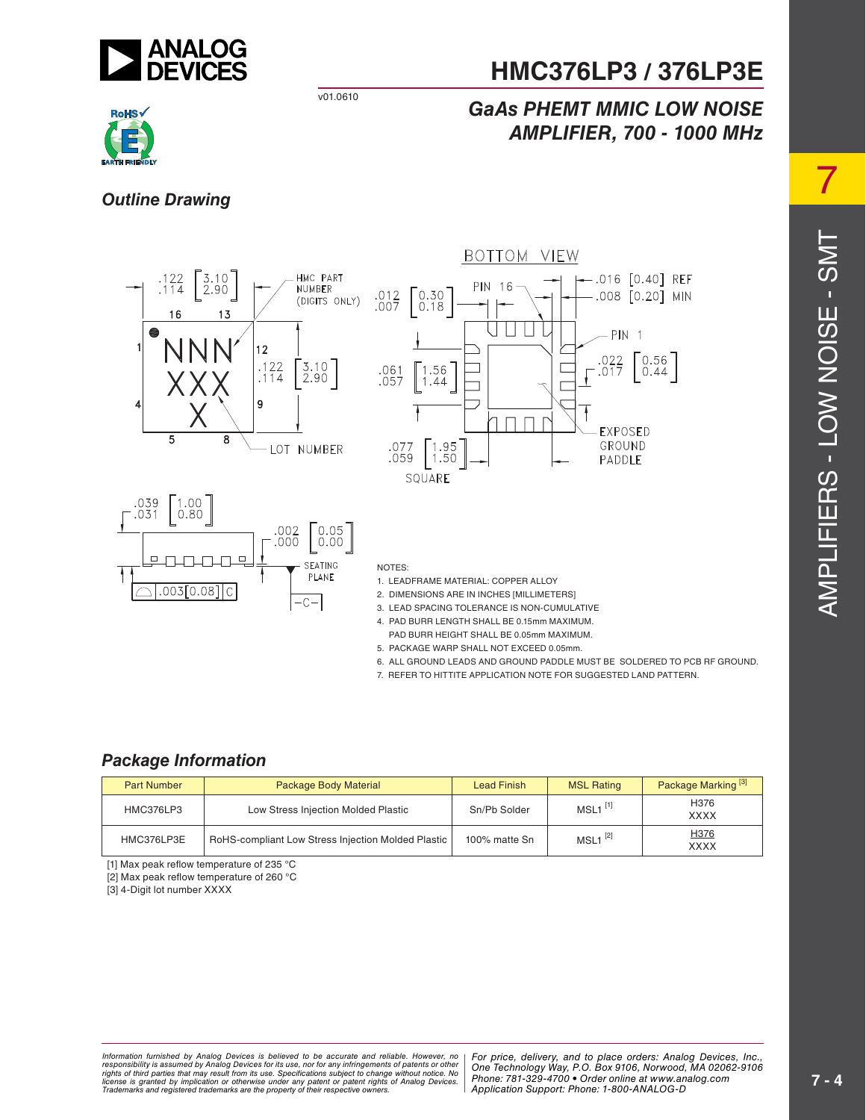

# **HMC376LP3 / 376LP3E**

### *GaAs PHEMT MMIC LOW NOISE AMPLIFIER, 700 - 1000 MHz*



#### *Outline Drawing*



- 5. PACKAGE WARP SHALL NOT EXCEED 0.05mm.
- 6. ALL GROUND LEADS AND GROUND PADDLE MUST BE SOLDERED TO PCB RF GROUND.
- 7. REFER TO HITTITE APPLICATION NOTE FOR SUGGESTED LAND PATTERN.

#### *Package Information*

| <b>Part Number</b> | Package Body Material                              | <b>Lead Finish</b> | <b>MSL Rating</b>     | Package Marking <sup>[3]</sup> |  |
|--------------------|----------------------------------------------------|--------------------|-----------------------|--------------------------------|--|
| HMC376LP3          | Low Stress Injection Molded Plastic                | Sn/Pb Solder       | $MSL1$ <sup>[1]</sup> | H376<br><b>XXXX</b>            |  |
| HMC376LP3E         | RoHS-compliant Low Stress Injection Molded Plastic | 100% matte Sn      | $MSL1^{[2]}$          | H376<br><b>XXXX</b>            |  |

[1] Max peak reflow temperature of 235  $^{\circ}$ C

[2] Max peak reflow temperature of 260 °C

[3] 4-Digit lot number XXXX

ed by Analog Devices is believed to be accurate and reliable. However, no | For price, delivery, and to place orders: Analog Devices, Inc.,<br>umed by Analog Devices for its use, not for any infringements of patents or other at may result from its use. Specifications subject to change without notice. No<br>polication or otherwise under any patent or patent rights of Analog Devices Phone: 781-329-4700 • Order online at www.a spective owners.  $\blacksquare$  Application S *Information furnished by Analog Devices is believed to be accurate and reliable. However, no*  responsibility is assumed by Analog Devices for its use, nor for any infringements of patents or other<br>rights of third parties that may result from its use. Specifications subject to change without notice. No<br>license is gr

*Phone: 781-329-4700 • Order online at www.analog.com Application Support: Phone: 1-800-ANALOG-D*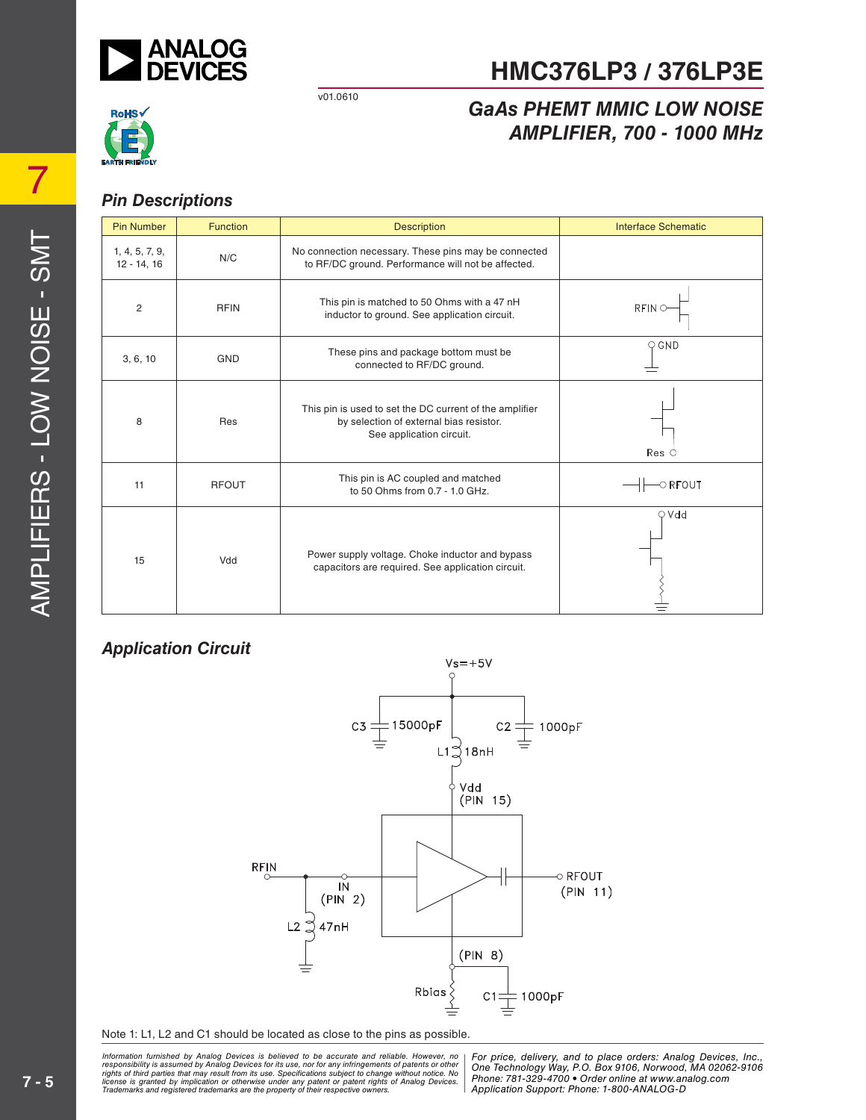

# **HMC376LP3 / 376LP3E**

### *GaAs PHEMT MMIC LOW NOISE AMPLIFIER, 700 - 1000 MHz*



#### *Pin Descriptions*

| <b>Pin Number</b>               | <b>Function</b> | <b>Description</b>                                                                                                             | <b>Interface Schematic</b> |
|---------------------------------|-----------------|--------------------------------------------------------------------------------------------------------------------------------|----------------------------|
| 1, 4, 5, 7, 9,<br>$12 - 14, 16$ | N/C             | No connection necessary. These pins may be connected<br>to RF/DC ground. Performance will not be affected.                     |                            |
| 2                               | <b>RFIN</b>     | This pin is matched to 50 Ohms with a 47 nH<br>inductor to ground. See application circuit.                                    | <b>RFINO</b>               |
| 3, 6, 10                        | <b>GND</b>      | These pins and package bottom must be<br>connected to RF/DC ground.                                                            | $\circ$ GND                |
| 8                               | Res             | This pin is used to set the DC current of the amplifier<br>by selection of external bias resistor.<br>See application circuit. | $Res$ $\circ$              |
| 11                              | <b>RFOUT</b>    | This pin is AC coupled and matched<br>to 50 Ohms from 0.7 - 1.0 GHz.                                                           | $\circ$ RFOUT              |
| 15                              | Vdd             | Power supply voltage. Choke inductor and bypass<br>capacitors are required. See application circuit.                           | $\bigcirc$ Vdd             |

#### *Application Circuit*



Note 1: L1, L2 and C1 should be located as close to the pins as possible.

at may result from its use. Specifications subject to change without notice. No<br>mplication or otherwise under any patent or patent rights of Analog Devices Phone: 781-329-4700 • Order online at www.a spective owners.  $\blacksquare$  Application S *Information furnished by Analog Devices is believed to be accurate and reliable. However, no*  responsibility is assumed by Analog Devices for its use, nor for any infringements of patents or other<br>rights of third parties that may result from its use. Specifications subject to change without notice. No<br>license is gr

ed by Analog Devices is believed to be accurate and reliable. However, no | For price, delivery, and to place orders: Analog Devices, Inc.,<br>s that may result from its use, nor for any infringements of patents or other | O *Application Support: Phone: 1-800-ANALOG-D*